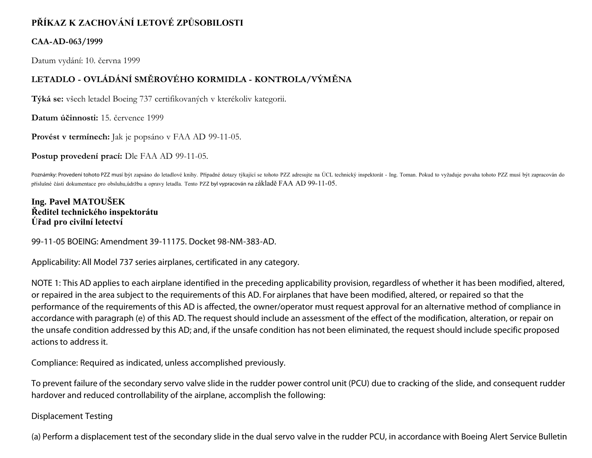# **PŘÍKAZ K ZACHOVÁNÍ LETOVÉ ZPŮSOBILOSTI**

#### **CAA-AD-063/1999**

Datum vydání: 10. června 1999

## **LETADLO - OVLÁDÁNÍ SMĚROVÉHO KORMIDLA - KONTROLA/VÝMĚNA**

**Týká se:** všech letadel Boeing 737 certifikovaných v kterékoliv kategorii.

**Datum účinnosti:** 15. července 1999

Provést v termínech: Jak je popsáno v FAA AD 99-11-05.

**Postup provedení prací:** Dle FAA AD 99-11-05.

Poznámky: Provedení tohoto PZZ musí být zapsáno do letadlové knihy. Případné dotazy týkající se tohoto PZZ adresujte na ÚCL technický inspektorát - Ing. Toman. Pokud to vyžaduje povaha tohoto PZZ musí být zapracován do příslušné části dokumentace pro obsluhu,údržbu a opravy letadla. Tento PZZ byl vypracován na základě FAA AD 99-11-05.

#### **Ing. Pavel MATOUŠEK Ředitel technického inspektorátu Úřad pro civilní letectví**

99-11-05 BOEING: Amendment 39-11175. Docket 98-NM-383-AD.

Applicability: All Model 737 series airplanes, certificated in any category.

NOTE 1: This AD applies to each airplane identified in the preceding applicability provision, regardless of whether it has been modified, altered, or repaired in the area subject to the requirements of this AD. For airplanes that have been modified, altered, or repaired so that the performance of the requirements of this AD is affected, the owner/operator must request approval for an alternative method of compliance in accordance with paragraph (e) of this AD. The request should include an assessment of the effect of the modification, alteration, or repair on the unsafe condition addressed by this AD; and, if the unsafe condition has not been eliminated, the request should include specific proposed actions to address it.

Compliance: Required as indicated, unless accomplished previously.

To prevent failure of the secondary servo valve slide in the rudder power control unit (PCU) due to cracking of the slide, and consequent rudder hardover and reduced controllability of the airplane, accomplish the following:

#### Displacement Testing

(a) Perform a displacement test of the secondary slide in the dual servo valve in the rudder PCU, in accordance with Boeing Alert Service Bulletin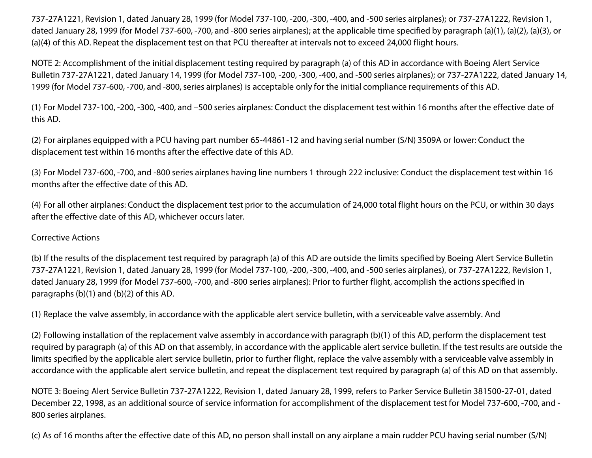737-27A1221, Revision 1, dated January 28, 1999 (for Model 737-100, -200, -300, -400, and -500 series airplanes); or 737-27A1222, Revision 1, dated January 28, 1999 (for Model 737-600, -700, and -800 series airplanes); at the applicable time specified by paragraph (a)(1), (a)(2), (a)(3), or (a)(4) of this AD. Repeat the displacement test on that PCU thereafter at intervals not to exceed 24,000 flight hours.

NOTE 2: Accomplishment of the initial displacement testing required by paragraph (a) of this AD in accordance with Boeing Alert Service Bulletin 737-27A1221, dated January 14, 1999 (for Model 737-100, -200, -300, -400, and -500 series airplanes); or 737-27A1222, dated January 14, 1999 (for Model 737-600, -700, and -800, series airplanes) is acceptable only for the initial compliance requirements of this AD.

(1) For Model 737-100, -200, -300, -400, and –500 series airplanes: Conduct the displacement test within 16 months after the effective date of this AD.

(2) For airplanes equipped with a PCU having part number 65-44861-12 and having serial number (S/N) 3509A or lower: Conduct the displacement test within 16 months after the effective date of this AD.

(3) For Model 737-600, -700, and -800 series airplanes having line numbers 1 through 222 inclusive: Conduct the displacement test within 16 months after the effective date of this AD.

(4) For all other airplanes: Conduct the displacement test prior to the accumulation of 24,000 total flight hours on the PCU, or within 30 days after the effective date of this AD, whichever occurs later.

#### Corrective Actions

(b) If the results of the displacement test required by paragraph (a) of this AD are outside the limits specified by Boeing Alert Service Bulletin 737-27A1221, Revision 1, dated January 28, 1999 (for Model 737-100, -200, -300, -400, and -500 series airplanes), or 737-27A1222, Revision 1, dated January 28, 1999 (for Model 737-600, -700, and -800 series airplanes): Prior to further flight, accomplish the actions specified in paragraphs (b)(1) and (b)(2) of this AD.

(1) Replace the valve assembly, in accordance with the applicable alert service bulletin, with a serviceable valve assembly. And

(2) Following installation of the replacement valve assembly in accordance with paragraph (b)(1) of this AD, perform the displacement test required by paragraph (a) of this AD on that assembly, in accordance with the applicable alert service bulletin. If the test results are outside the limits specified by the applicable alert service bulletin, prior to further flight, replace the valve assembly with a serviceable valve assembly in accordance with the applicable alert service bulletin, and repeat the displacement test required by paragraph (a) of this AD on that assembly.

NOTE 3: Boeing Alert Service Bulletin 737-27A1222, Revision 1, dated January 28, 1999, refers to Parker Service Bulletin 381500-27-01, dated December 22, 1998, as an additional source of service information for accomplishment of the displacement test for Model 737-600, -700, and - 800 series airplanes.

(c) As of 16 months after the effective date of this AD, no person shall install on any airplane a main rudder PCU having serial number (S/N)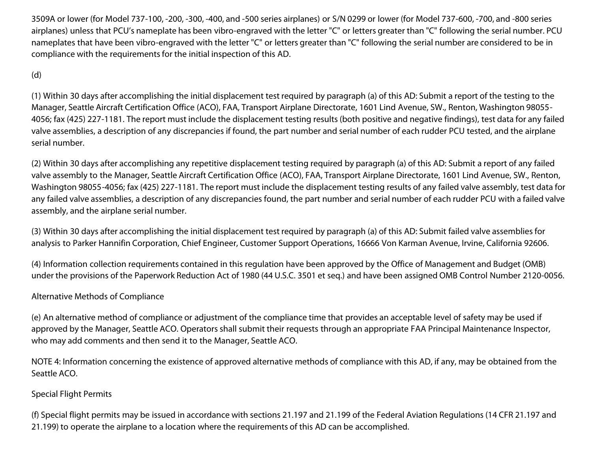3509A or lower (for Model 737-100, -200, -300, -400, and -500 series airplanes) or S/N 0299 or lower (for Model 737-600, -700, and -800 series airplanes) unless that PCU's nameplate has been vibro-engraved with the letter "C" or letters greater than "C" following the serial number. PCU nameplates that have been vibro-engraved with the letter "C" or letters greater than "C" following the serial number are considered to be in compliance with the requirements for the initial inspection of this AD.

#### (d)

(1) Within 30 days after accomplishing the initial displacement test required by paragraph (a) of this AD: Submit a report of the testing to the Manager, Seattle Aircraft Certification Office (ACO), FAA, Transport Airplane Directorate, 1601 Lind Avenue, SW., Renton, Washington 98055- 4056; fax (425) 227-1181. The report must include the displacement testing results (both positive and negative findings), test data for any failed valve assemblies, a description of any discrepancies if found, the part number and serial number of each rudder PCU tested, and the airplane serial number.

(2) Within 30 days after accomplishing any repetitive displacement testing required by paragraph (a) of this AD: Submit a report of any failed valve assembly to the Manager, Seattle Aircraft Certification Office (ACO), FAA, Transport Airplane Directorate, 1601 Lind Avenue, SW., Renton, Washington 98055-4056; fax (425) 227-1181. The report must include the displacement testing results of any failed valve assembly, test data for any failed valve assemblies, a description of any discrepancies found, the part number and serial number of each rudder PCU with a failed valve assembly, and the airplane serial number.

(3) Within 30 days after accomplishing the initial displacement test required by paragraph (a) of this AD: Submit failed valve assemblies for analysis to Parker Hannifin Corporation, Chief Engineer, Customer Support Operations, 16666 Von Karman Avenue, Irvine, California 92606.

(4) Information collection requirements contained in this regulation have been approved by the Office of Management and Budget (OMB) under the provisions of the Paperwork Reduction Act of 1980 (44 U.S.C. 3501 et seq.) and have been assigned OMB Control Number 2120-0056.

#### Alternative Methods of Compliance

(e) An alternative method of compliance or adjustment of the compliance time that provides an acceptable level of safety may be used if approved by the Manager, Seattle ACO. Operators shall submit their requests through an appropriate FAA Principal Maintenance Inspector, who may add comments and then send it to the Manager, Seattle ACO.

NOTE 4: Information concerning the existence of approved alternative methods of compliance with this AD, if any, may be obtained from the Seattle ACO.

## Special Flight Permits

(f) Special flight permits may be issued in accordance with sections 21.197 and 21.199 of the Federal Aviation Regulations (14 CFR 21.197 and 21.199) to operate the airplane to a location where the requirements of this AD can be accomplished.